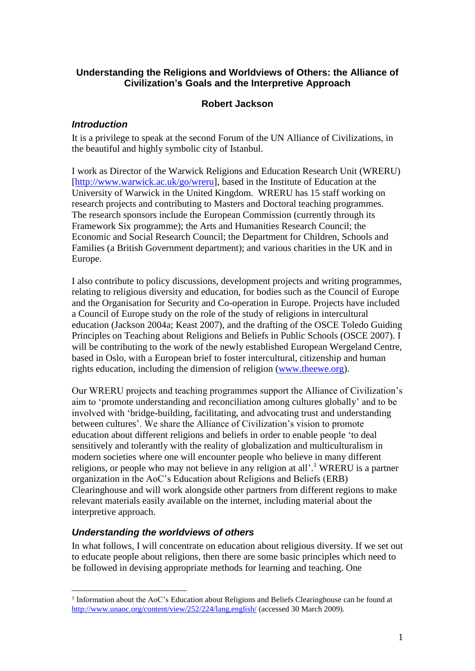## **Understanding the Religions and Worldviews of Others: the Alliance of Civilization's Goals and the Interpretive Approach**

# **Robert Jackson**

## *Introduction*

It is a privilege to speak at the second Forum of the UN Alliance of Civilizations, in the beautiful and highly symbolic city of Istanbul.

I work as Director of the Warwick Religions and Education Research Unit (WRERU) [\[http://www.warwick.ac.uk/go/wreru\]](https://mywebmail.warwick.ac.uk/exchweb/bin/redir.asp?URL=http://www.warwick.ac.uk/go/wreru), based in the Institute of Education at the University of Warwick in the United Kingdom. WRERU has 15 staff working on research projects and contributing to Masters and Doctoral teaching programmes. The research sponsors include the European Commission (currently through its Framework Six programme); the Arts and Humanities Research Council; the Economic and Social Research Council; the Department for Children, Schools and Families (a British Government department); and various charities in the UK and in Europe.

I also contribute to policy discussions, development projects and writing programmes, relating to religious diversity and education, for bodies such as the Council of Europe and the Organisation for Security and Co-operation in Europe. Projects have included a Council of Europe study on the role of the study of religions in intercultural education (Jackson 2004a; Keast 2007), and the drafting of the OSCE Toledo Guiding Principles on Teaching about Religions and Beliefs in Public Schools (OSCE 2007). I will be contributing to the work of the newly established European Wergeland Centre, based in Oslo, with a European brief to foster intercultural, citizenship and human rights education, including the dimension of religion [\(www.theewe.org\)](http://www.theewe.org/).

Our WRERU projects and teaching programmes support the Alliance of Civilization's aim to 'promote understanding and reconciliation among cultures globally' and to be involved with 'bridge-building, facilitating, and advocating trust and understanding between cultures'. We share the Alliance of Civilization's vision to promote education about different religions and beliefs in order to enable people 'to deal sensitively and tolerantly with the reality of globalization and multiculturalism in modern societies where one will encounter people who believe in many different religions, or people who may not believe in any religion at all'.<sup>1</sup> WRERU is a partner organization in the AoC's Education about Religions and Beliefs (ERB) Clearinghouse and will work alongside other partners from different regions to make relevant materials easily available on the internet, including material about the interpretive approach.

## *Understanding the worldviews of others*

In what follows, I will concentrate on education about religious diversity. If we set out to educate people about religions, then there are some basic principles which need to be followed in devising appropriate methods for learning and teaching. One

<sup>1</sup> <sup>1</sup> Information about the AoC's Education about Religions and Beliefs Clearinghouse can be found at <http://www.unaoc.org/content/view/252/224/lang,english/> (accessed 30 March 2009).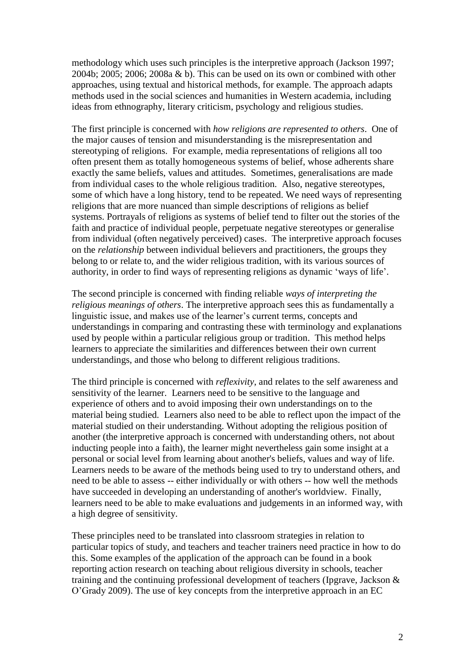methodology which uses such principles is the interpretive approach (Jackson 1997; 2004b; 2005; 2006; 2008a & b). This can be used on its own or combined with other approaches, using textual and historical methods, for example. The approach adapts methods used in the social sciences and humanities in Western academia, including ideas from ethnography, literary criticism, psychology and religious studies.

The first principle is concerned with *how religions are represented to others*. One of the major causes of tension and misunderstanding is the misrepresentation and stereotyping of religions. For example, media representations of religions all too often present them as totally homogeneous systems of belief, whose adherents share exactly the same beliefs, values and attitudes. Sometimes, generalisations are made from individual cases to the whole religious tradition. Also, negative stereotypes, some of which have a long history, tend to be repeated. We need ways of representing religions that are more nuanced than simple descriptions of religions as belief systems. Portrayals of religions as systems of belief tend to filter out the stories of the faith and practice of individual people, perpetuate negative stereotypes or generalise from individual (often negatively perceived) cases. The interpretive approach focuses on the *relationship* between individual believers and practitioners, the groups they belong to or relate to, and the wider religious tradition, with its various sources of authority, in order to find ways of representing religions as dynamic 'ways of life'.

The second principle is concerned with finding reliable *ways of interpreting the religious meanings of others*. The interpretive approach sees this as fundamentally a linguistic issue, and makes use of the learner's current terms, concepts and understandings in comparing and contrasting these with terminology and explanations used by people within a particular religious group or tradition. This method helps learners to appreciate the similarities and differences between their own current understandings, and those who belong to different religious traditions.

The third principle is concerned with *reflexivity*, and relates to the self awareness and sensitivity of the learner. Learners need to be sensitive to the language and experience of others and to avoid imposing their own understandings on to the material being studied. Learners also need to be able to reflect upon the impact of the material studied on their understanding. Without adopting the religious position of another (the interpretive approach is concerned with understanding others, not about inducting people into a faith), the learner might nevertheless gain some insight at a personal or social level from learning about another's beliefs, values and way of life. Learners needs to be aware of the methods being used to try to understand others, and need to be able to assess -- either individually or with others -- how well the methods have succeeded in developing an understanding of another's worldview. Finally, learners need to be able to make evaluations and judgements in an informed way, with a high degree of sensitivity.

These principles need to be translated into classroom strategies in relation to particular topics of study, and teachers and teacher trainers need practice in how to do this. Some examples of the application of the approach can be found in a book reporting action research on teaching about religious diversity in schools, teacher training and the continuing professional development of teachers (Ipgrave, Jackson & O'Grady 2009). The use of key concepts from the interpretive approach in an EC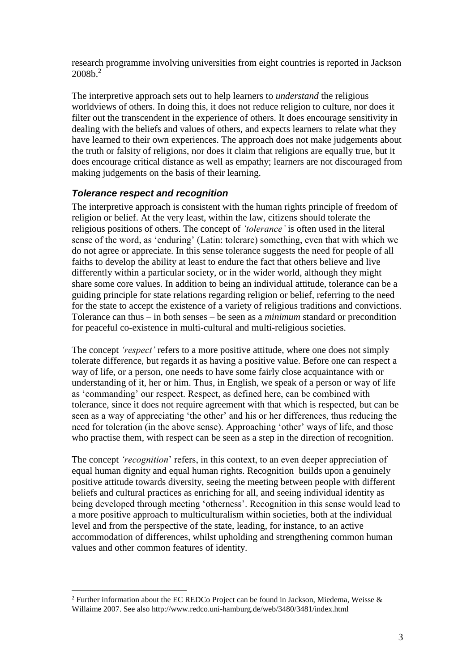research programme involving universities from eight countries is reported in Jackson 2008b.<sup>2</sup>

The interpretive approach sets out to help learners to *understand* the religious worldviews of others. In doing this, it does not reduce religion to culture, nor does it filter out the transcendent in the experience of others. It does encourage sensitivity in dealing with the beliefs and values of others, and expects learners to relate what they have learned to their own experiences. The approach does not make judgements about the truth or falsity of religions, nor does it claim that religions are equally true, but it does encourage critical distance as well as empathy; learners are not discouraged from making judgements on the basis of their learning.

#### *Tolerance respect and recognition*

1

The interpretive approach is consistent with the human rights principle of freedom of religion or belief. At the very least, within the law, citizens should tolerate the religious positions of others. The concept of *'tolerance'* is often used in the literal sense of the word, as 'enduring' (Latin: tolerare) something, even that with which we do not agree or appreciate. In this sense tolerance suggests the need for people of all faiths to develop the ability at least to endure the fact that others believe and live differently within a particular society, or in the wider world, although they might share some core values. In addition to being an individual attitude, tolerance can be a guiding principle for state relations regarding religion or belief, referring to the need for the state to accept the existence of a variety of religious traditions and convictions. Tolerance can thus – in both senses – be seen as a *minimum* standard or precondition for peaceful co-existence in multi-cultural and multi-religious societies.

The concept *'respect'* refers to a more positive attitude, where one does not simply tolerate difference, but regards it as having a positive value. Before one can respect a way of life, or a person, one needs to have some fairly close acquaintance with or understanding of it, her or him. Thus, in English, we speak of a person or way of life as 'commanding' our respect. Respect, as defined here, can be combined with tolerance, since it does not require agreement with that which is respected, but can be seen as a way of appreciating 'the other' and his or her differences, thus reducing the need for toleration (in the above sense). Approaching 'other' ways of life, and those who practise them, with respect can be seen as a step in the direction of recognition.

The concept *'recognition*' refers, in this context, to an even deeper appreciation of equal human dignity and equal human rights. Recognition builds upon a genuinely positive attitude towards diversity, seeing the meeting between people with different beliefs and cultural practices as enriching for all, and seeing individual identity as being developed through meeting 'otherness'. Recognition in this sense would lead to a more positive approach to multiculturalism within societies, both at the individual level and from the perspective of the state, leading, for instance, to an active accommodation of differences, whilst upholding and strengthening common human values and other common features of identity.

<sup>&</sup>lt;sup>2</sup> Further information about the EC REDCo Project can be found in Jackson, Miedema, Weisse & Willaime 2007. See also http://www.redco.uni-hamburg.de/web/3480/3481/index.html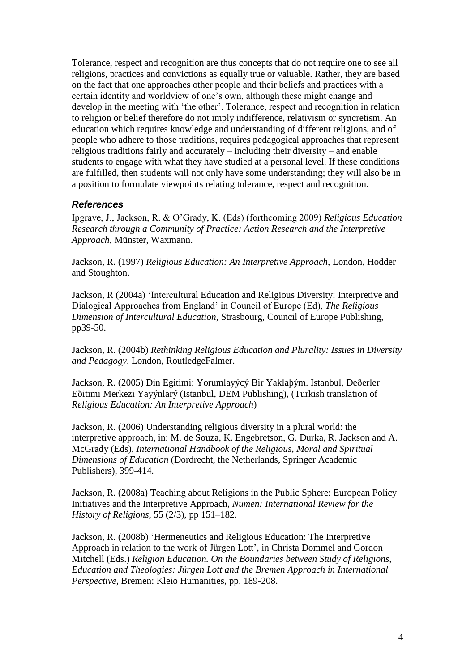Tolerance, respect and recognition are thus concepts that do not require one to see all religions, practices and convictions as equally true or valuable. Rather, they are based on the fact that one approaches other people and their beliefs and practices with a certain identity and worldview of one's own, although these might change and develop in the meeting with 'the other'. Tolerance, respect and recognition in relation to religion or belief therefore do not imply indifference, relativism or syncretism. An education which requires knowledge and understanding of different religions, and of people who adhere to those traditions, requires pedagogical approaches that represent religious traditions fairly and accurately – including their diversity – and enable students to engage with what they have studied at a personal level. If these conditions are fulfilled, then students will not only have some understanding; they will also be in a position to formulate viewpoints relating tolerance, respect and recognition.

## *References*

Ipgrave, J., Jackson, R. & O'Grady, K. (Eds) (forthcoming 2009) *Religious Education Research through a Community of Practice: Action Research and the Interpretive Approach*, Münster, Waxmann.

Jackson, R. (1997) *Religious Education: An Interpretive Approach*, London, Hodder and Stoughton.

Jackson, R (2004a) 'Intercultural Education and Religious Diversity: Interpretive and Dialogical Approaches from England' in Council of Europe (Ed), *The Religious Dimension of Intercultural Education*, Strasbourg, Council of Europe Publishing, pp39-50.

Jackson, R. (2004b) *Rethinking Religious Education and Plurality: Issues in Diversity and Pedagogy*, London, RoutledgeFalmer.

Jackson, R. (2005) Din Egitimi: Yorumlayýcý Bir Yaklaþým. Istanbul, Deðerler Eðitimi Merkezi Yayýnlarý (Istanbul, DEM Publishing), (Turkish translation of *Religious Education: An Interpretive Approach*)

Jackson, R. (2006) Understanding religious diversity in a plural world: the interpretive approach, in: M. de Souza, K. Engebretson, G. Durka, R. Jackson and A. McGrady (Eds), *International Handbook of the Religious, Moral and Spiritual Dimensions of Education* (Dordrecht, the Netherlands, Springer Academic Publishers), 399-414.

Jackson, R. (2008a) Teaching about Religions in the Public Sphere: European Policy Initiatives and the Interpretive Approach, *Numen: International Review for the History of Religions*, 55 (2/3), pp 151–182*.*

Jackson, R. (2008b) 'Hermeneutics and Religious Education: The Interpretive Approach in relation to the work of Jürgen Lott', in Christa Dommel and Gordon Mitchell (Eds.) *Religion Education. On the Boundaries between Study of Religions, Education and Theologies: Jürgen Lott and the Bremen Approach in International Perspective*, Bremen: Kleio Humanities, pp. 189-208.